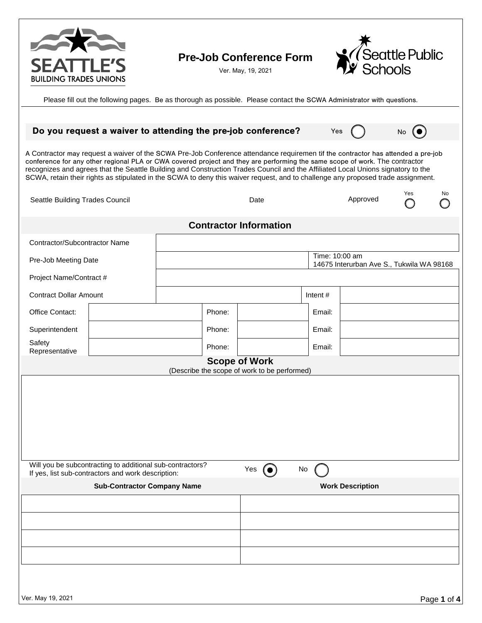

## **Pre**-**Job Conference Form**

Ver. May, 19, 2021



Please fill out the following pages. Be as thorough as possible. Please contact the SCWA Administrator with questions.

|                                                                                                                                                                                                                                                                                                                                                                                                                                                                                                                                         |        | Do you request a waiver to attending the pre-job conference? |  | Yes     |                         | No  |    |  |
|-----------------------------------------------------------------------------------------------------------------------------------------------------------------------------------------------------------------------------------------------------------------------------------------------------------------------------------------------------------------------------------------------------------------------------------------------------------------------------------------------------------------------------------------|--------|--------------------------------------------------------------|--|---------|-------------------------|-----|----|--|
| A Contractor may request a waiver of the SCWA Pre-Job Conference attendance requiremen tif the contractor has attended a pre-job<br>conference for any other regional PLA or CWA covered project and they are performing the same scope of work. The contractor<br>recognizes and agrees that the Seattle Building and Construction Trades Council and the Affiliated Local Unions signatory to the<br>SCWA, retain their rights as stipulated in the SCWA to deny this waiver request, and to challenge any proposed trade assignment. |        |                                                              |  |         |                         |     |    |  |
| Seattle Building Trades Council                                                                                                                                                                                                                                                                                                                                                                                                                                                                                                         |        | Date                                                         |  |         | Approved                | Yes | No |  |
| <b>Contractor Information</b>                                                                                                                                                                                                                                                                                                                                                                                                                                                                                                           |        |                                                              |  |         |                         |     |    |  |
| Contractor/Subcontractor Name                                                                                                                                                                                                                                                                                                                                                                                                                                                                                                           |        |                                                              |  |         |                         |     |    |  |
| Pre-Job Meeting Date                                                                                                                                                                                                                                                                                                                                                                                                                                                                                                                    |        | Time: 10:00 am<br>14675 Interurban Ave S., Tukwila WA 98168  |  |         |                         |     |    |  |
| Project Name/Contract #                                                                                                                                                                                                                                                                                                                                                                                                                                                                                                                 |        |                                                              |  |         |                         |     |    |  |
| <b>Contract Dollar Amount</b>                                                                                                                                                                                                                                                                                                                                                                                                                                                                                                           |        |                                                              |  | Intent# |                         |     |    |  |
| Office Contact:                                                                                                                                                                                                                                                                                                                                                                                                                                                                                                                         |        | Phone:                                                       |  | Email:  |                         |     |    |  |
| Superintendent                                                                                                                                                                                                                                                                                                                                                                                                                                                                                                                          | Phone: |                                                              |  | Email:  |                         |     |    |  |
| Safety<br>Representative                                                                                                                                                                                                                                                                                                                                                                                                                                                                                                                |        | Phone:                                                       |  | Email:  |                         |     |    |  |
| <b>Scope of Work</b>                                                                                                                                                                                                                                                                                                                                                                                                                                                                                                                    |        |                                                              |  |         |                         |     |    |  |
| (Describe the scope of work to be performed)                                                                                                                                                                                                                                                                                                                                                                                                                                                                                            |        |                                                              |  |         |                         |     |    |  |
|                                                                                                                                                                                                                                                                                                                                                                                                                                                                                                                                         |        |                                                              |  |         |                         |     |    |  |
|                                                                                                                                                                                                                                                                                                                                                                                                                                                                                                                                         |        |                                                              |  |         |                         |     |    |  |
|                                                                                                                                                                                                                                                                                                                                                                                                                                                                                                                                         |        |                                                              |  |         |                         |     |    |  |
|                                                                                                                                                                                                                                                                                                                                                                                                                                                                                                                                         |        |                                                              |  |         |                         |     |    |  |
| Will you be subcontracting to additional sub-contractors?<br>Yes $\odot$<br>No<br>If yes, list sub-contractors and work description:                                                                                                                                                                                                                                                                                                                                                                                                    |        |                                                              |  |         |                         |     |    |  |
| <b>Sub-Contractor Company Name</b>                                                                                                                                                                                                                                                                                                                                                                                                                                                                                                      |        |                                                              |  |         | <b>Work Description</b> |     |    |  |
|                                                                                                                                                                                                                                                                                                                                                                                                                                                                                                                                         |        |                                                              |  |         |                         |     |    |  |
|                                                                                                                                                                                                                                                                                                                                                                                                                                                                                                                                         |        |                                                              |  |         |                         |     |    |  |
|                                                                                                                                                                                                                                                                                                                                                                                                                                                                                                                                         |        |                                                              |  |         |                         |     |    |  |
|                                                                                                                                                                                                                                                                                                                                                                                                                                                                                                                                         |        |                                                              |  |         |                         |     |    |  |
|                                                                                                                                                                                                                                                                                                                                                                                                                                                                                                                                         |        |                                                              |  |         |                         |     |    |  |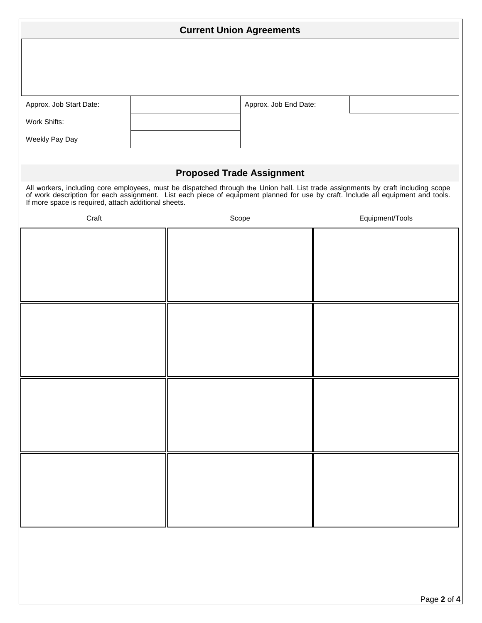| <b>Current Union Agreements</b>                                                                                                                                                                                                                                    |                       |       |  |                 |             |  |
|--------------------------------------------------------------------------------------------------------------------------------------------------------------------------------------------------------------------------------------------------------------------|-----------------------|-------|--|-----------------|-------------|--|
|                                                                                                                                                                                                                                                                    |                       |       |  |                 |             |  |
|                                                                                                                                                                                                                                                                    |                       |       |  |                 |             |  |
| Approx. Job Start Date:                                                                                                                                                                                                                                            | Approx. Job End Date: |       |  |                 |             |  |
| Work Shifts:                                                                                                                                                                                                                                                       |                       |       |  |                 |             |  |
| Weekly Pay Day                                                                                                                                                                                                                                                     |                       |       |  |                 |             |  |
|                                                                                                                                                                                                                                                                    |                       |       |  |                 |             |  |
| <b>Proposed Trade Assignment</b><br>All workers, including core employees, must be dispatched through the Union hall. List trade assignments by craft including scope of work description for each assignment. List each piece of equipment planned for use by cra |                       |       |  |                 |             |  |
| Craft                                                                                                                                                                                                                                                              |                       | Scope |  | Equipment/Tools |             |  |
|                                                                                                                                                                                                                                                                    |                       |       |  |                 |             |  |
|                                                                                                                                                                                                                                                                    |                       |       |  |                 |             |  |
|                                                                                                                                                                                                                                                                    |                       |       |  |                 |             |  |
|                                                                                                                                                                                                                                                                    |                       |       |  |                 |             |  |
|                                                                                                                                                                                                                                                                    |                       |       |  |                 |             |  |
|                                                                                                                                                                                                                                                                    |                       |       |  |                 |             |  |
|                                                                                                                                                                                                                                                                    |                       |       |  |                 |             |  |
|                                                                                                                                                                                                                                                                    |                       |       |  |                 |             |  |
|                                                                                                                                                                                                                                                                    |                       |       |  |                 |             |  |
|                                                                                                                                                                                                                                                                    |                       |       |  |                 |             |  |
|                                                                                                                                                                                                                                                                    |                       |       |  |                 |             |  |
|                                                                                                                                                                                                                                                                    |                       |       |  |                 |             |  |
|                                                                                                                                                                                                                                                                    |                       |       |  |                 |             |  |
|                                                                                                                                                                                                                                                                    |                       |       |  |                 |             |  |
|                                                                                                                                                                                                                                                                    |                       |       |  |                 |             |  |
|                                                                                                                                                                                                                                                                    |                       |       |  |                 |             |  |
|                                                                                                                                                                                                                                                                    |                       |       |  |                 |             |  |
|                                                                                                                                                                                                                                                                    |                       |       |  |                 |             |  |
|                                                                                                                                                                                                                                                                    |                       |       |  |                 | Page 2 of 4 |  |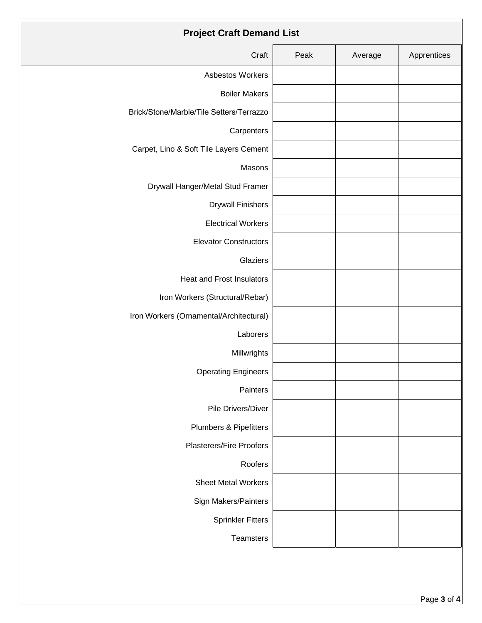| <b>Project Craft Demand List</b>         |      |         |             |  |  |  |
|------------------------------------------|------|---------|-------------|--|--|--|
| Craft                                    | Peak | Average | Apprentices |  |  |  |
| Asbestos Workers                         |      |         |             |  |  |  |
| <b>Boiler Makers</b>                     |      |         |             |  |  |  |
| Brick/Stone/Marble/Tile Setters/Terrazzo |      |         |             |  |  |  |
| Carpenters                               |      |         |             |  |  |  |
| Carpet, Lino & Soft Tile Layers Cement   |      |         |             |  |  |  |
| Masons                                   |      |         |             |  |  |  |
| Drywall Hanger/Metal Stud Framer         |      |         |             |  |  |  |
| <b>Drywall Finishers</b>                 |      |         |             |  |  |  |
| <b>Electrical Workers</b>                |      |         |             |  |  |  |
| <b>Elevator Constructors</b>             |      |         |             |  |  |  |
| Glaziers                                 |      |         |             |  |  |  |
| <b>Heat and Frost Insulators</b>         |      |         |             |  |  |  |
| Iron Workers (Structural/Rebar)          |      |         |             |  |  |  |
| Iron Workers (Ornamental/Architectural)  |      |         |             |  |  |  |
| Laborers                                 |      |         |             |  |  |  |
| Millwrights                              |      |         |             |  |  |  |
| <b>Operating Engineers</b>               |      |         |             |  |  |  |
| Painters                                 |      |         |             |  |  |  |
| Pile Drivers/Diver                       |      |         |             |  |  |  |
| Plumbers & Pipefitters                   |      |         |             |  |  |  |
| <b>Plasterers/Fire Proofers</b>          |      |         |             |  |  |  |
| Roofers                                  |      |         |             |  |  |  |
| <b>Sheet Metal Workers</b>               |      |         |             |  |  |  |
| Sign Makers/Painters                     |      |         |             |  |  |  |
| <b>Sprinkler Fitters</b>                 |      |         |             |  |  |  |
| Teamsters                                |      |         |             |  |  |  |